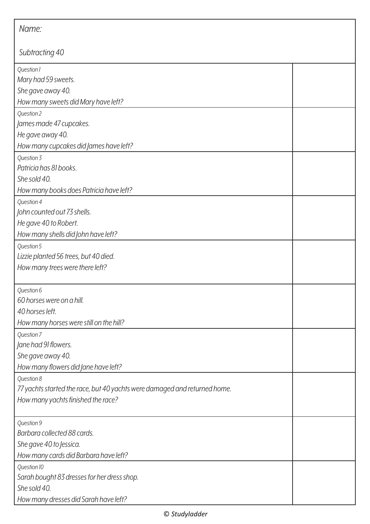| Name:                                                                     |  |  |
|---------------------------------------------------------------------------|--|--|
| Subtracting 40                                                            |  |  |
| Question 1                                                                |  |  |
| Mary had 59 sweets.                                                       |  |  |
| She gave away 40.                                                         |  |  |
| How many sweets did Mary have left?                                       |  |  |
| Question 2                                                                |  |  |
| James made 47 cupcakes.                                                   |  |  |
| He gave away 40.                                                          |  |  |
| How many cupcakes did James have left?                                    |  |  |
| Question 3                                                                |  |  |
| Patricia has 81 books.                                                    |  |  |
| She sold 40.                                                              |  |  |
| How many books does Patricia have left?                                   |  |  |
| Question 4                                                                |  |  |
| John counted out 73 shells.                                               |  |  |
| He gave 40 to Robert.                                                     |  |  |
| How many shells did John have left?                                       |  |  |
| Question 5                                                                |  |  |
| Lizzie planted 56 trees, but 40 died.                                     |  |  |
| How many trees were there left?                                           |  |  |
| Question 6                                                                |  |  |
| 60 horses were on a hill.                                                 |  |  |
| 40 horses left.                                                           |  |  |
| How many horses were still on the hill?                                   |  |  |
| Question 7                                                                |  |  |
| Jane had 91 flowers.                                                      |  |  |
| She gave away 40.                                                         |  |  |
| How many flowers did Jane have left?                                      |  |  |
| Question 8                                                                |  |  |
| 77 yachts started the race, but 40 yachts were damaged and returned home. |  |  |
| How many yachts finished the race?                                        |  |  |
| Question 9                                                                |  |  |
| Barbara collected 88 cards.                                               |  |  |
| She gave 40 to Jessica.                                                   |  |  |
| How many cards did Barbara have left?                                     |  |  |
| Question 10                                                               |  |  |
| Sarah bought 83 dresses for her dress shop.                               |  |  |
| She sold 40.                                                              |  |  |
| How many dresses did Sarah have left?                                     |  |  |